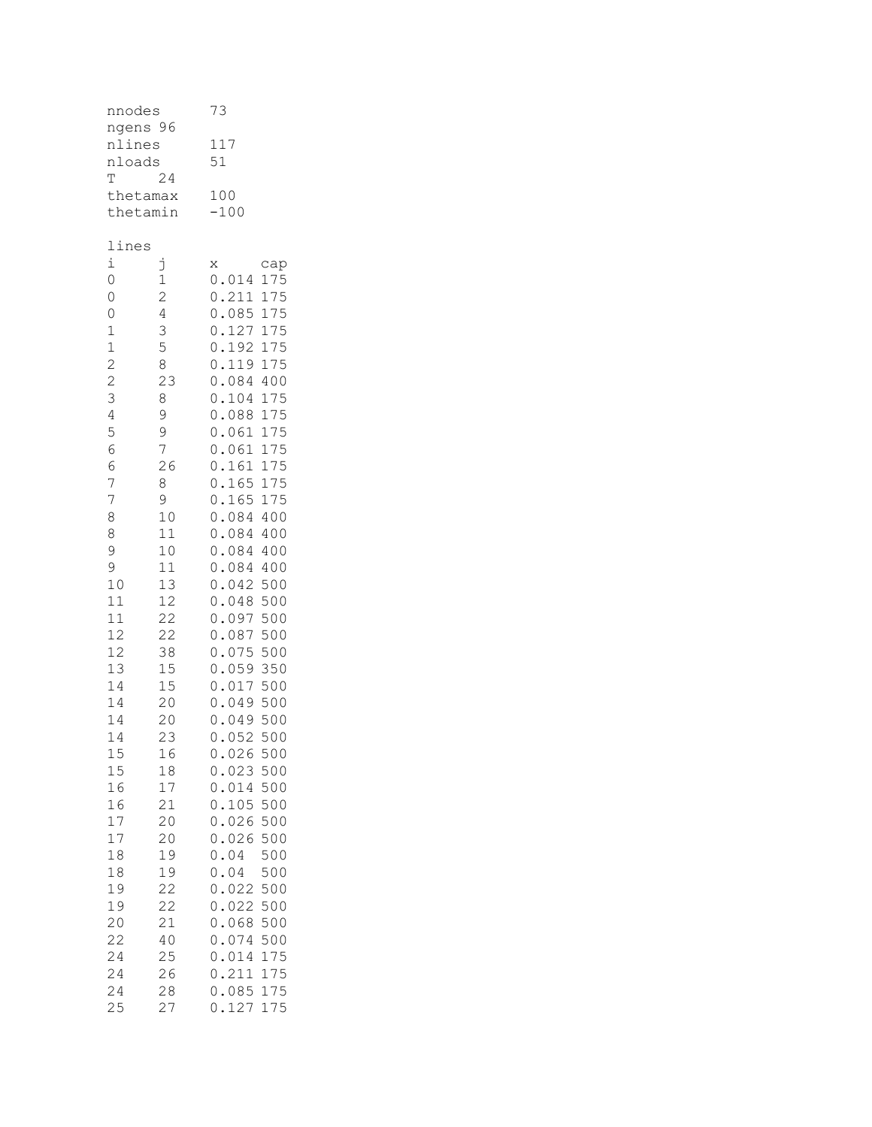| nnodes<br>ngens 96<br>nlines<br>nloads<br>T<br>thetamax<br>thetamin                                                                                                                                                                                                                                           | 24                                                                                                                                                                                                                                                                                                       | 73<br>117<br>51<br>100<br>$-100$                                                                                                                                                                                                                                                                                                                                                                                                                                                                                                                                                                                                                                                                                                                                                                                                                                                                                                                                                                                                                                                                                                                                                                                                                                                                                                                         |  |
|---------------------------------------------------------------------------------------------------------------------------------------------------------------------------------------------------------------------------------------------------------------------------------------------------------------|----------------------------------------------------------------------------------------------------------------------------------------------------------------------------------------------------------------------------------------------------------------------------------------------------------|----------------------------------------------------------------------------------------------------------------------------------------------------------------------------------------------------------------------------------------------------------------------------------------------------------------------------------------------------------------------------------------------------------------------------------------------------------------------------------------------------------------------------------------------------------------------------------------------------------------------------------------------------------------------------------------------------------------------------------------------------------------------------------------------------------------------------------------------------------------------------------------------------------------------------------------------------------------------------------------------------------------------------------------------------------------------------------------------------------------------------------------------------------------------------------------------------------------------------------------------------------------------------------------------------------------------------------------------------------|--|
| lines<br>i<br>$\circ$<br>$\circ$<br>$\overline{0}$<br>$\mathbf{1}$<br>$\mathbf{1}$<br>2 2 3 4 5 6<br>6<br>$\overline{7}$<br>7<br>8<br>8<br>9<br>9<br>10<br>11<br>11<br>12<br>12<br>13<br>14<br>14<br>14<br>14<br>15<br>15<br>16<br>16<br>17<br>17<br>18<br>18<br>19<br>19<br>20<br>22<br>24<br>24<br>24<br>25 | j<br>1<br>$\frac{1}{2}$<br>$\begin{array}{c} 4 \\ 3 \\ 5 \\ 8 \end{array}$<br>23<br>8<br>9<br>9<br>7<br>26<br>8<br>9<br>10<br>11<br>10<br>11<br>13<br>12<br>22<br>22<br>38<br>15<br>15<br>20<br>20<br>23<br>16<br>18<br>17<br>21<br>20<br>20<br>19<br>19<br>22<br>22<br>21<br>40<br>25<br>26<br>28<br>27 | X<br>cap<br>175<br>0.014<br>175<br>0<br>.211<br>175<br>0<br>.085<br>0<br>$\ddot{\phantom{a}}$<br>127<br>175<br>$\overline{0}$ .<br>192<br>175<br>$\overline{0}$ .<br>119<br>175<br>$\overline{0}$ .<br>084<br>400<br>$\overline{0}$ .<br>104<br>175<br>$\overline{0}$ .<br>175<br>088<br>0.061<br>175<br>0.061<br>175<br>$\circ$ .<br>161<br>175<br>$\overline{0}$ .<br>165<br>175<br>$\circ$ .<br>165<br>175<br>$\overline{0}$ .<br>084 400<br>$\overline{0}$ .<br>084 400<br>$\overline{0}$ .<br>084 400<br>0.084 400<br>$\overline{0}$ .<br>042<br>500<br>$\overline{0}$ .<br>500<br>048<br>$\overline{0}$ .<br>097<br>500<br>$\boldsymbol{0}$ .<br>500<br>087<br>$\circ$ .<br>500<br>075<br>059 350<br>$\mathfrak o$ .<br>0.017 500<br>$\circ$ .<br>049 500<br>0.049500<br>052<br>500<br>$\circ$<br>$\bullet$<br>026<br>500<br>0<br>023<br>500<br>0<br>$\ddot{\phantom{0}}$<br>0<br>014<br>500<br>$\ddot{\phantom{0}}$<br>105<br>500<br>0<br>$\ddot{\phantom{0}}$<br>500<br>026<br>0<br>$\ddot{\phantom{0}}$<br>026<br>500<br>0<br>$\ddot{\phantom{0}}$<br>04<br>500<br>0<br>$\ddot{\phantom{0}}$<br>$\ddot{\phantom{0}}$<br>04<br>500<br>0<br>500<br>0<br>022<br>022<br>500<br>0<br>$\ddot{\phantom{a}}$<br>068<br>500<br>0<br>500<br>0<br>074<br>.014<br>0<br>175<br>$\ddot{\phantom{a}}$<br>211<br>0<br>175<br>085<br>175<br>0<br>127<br>0<br>175 |  |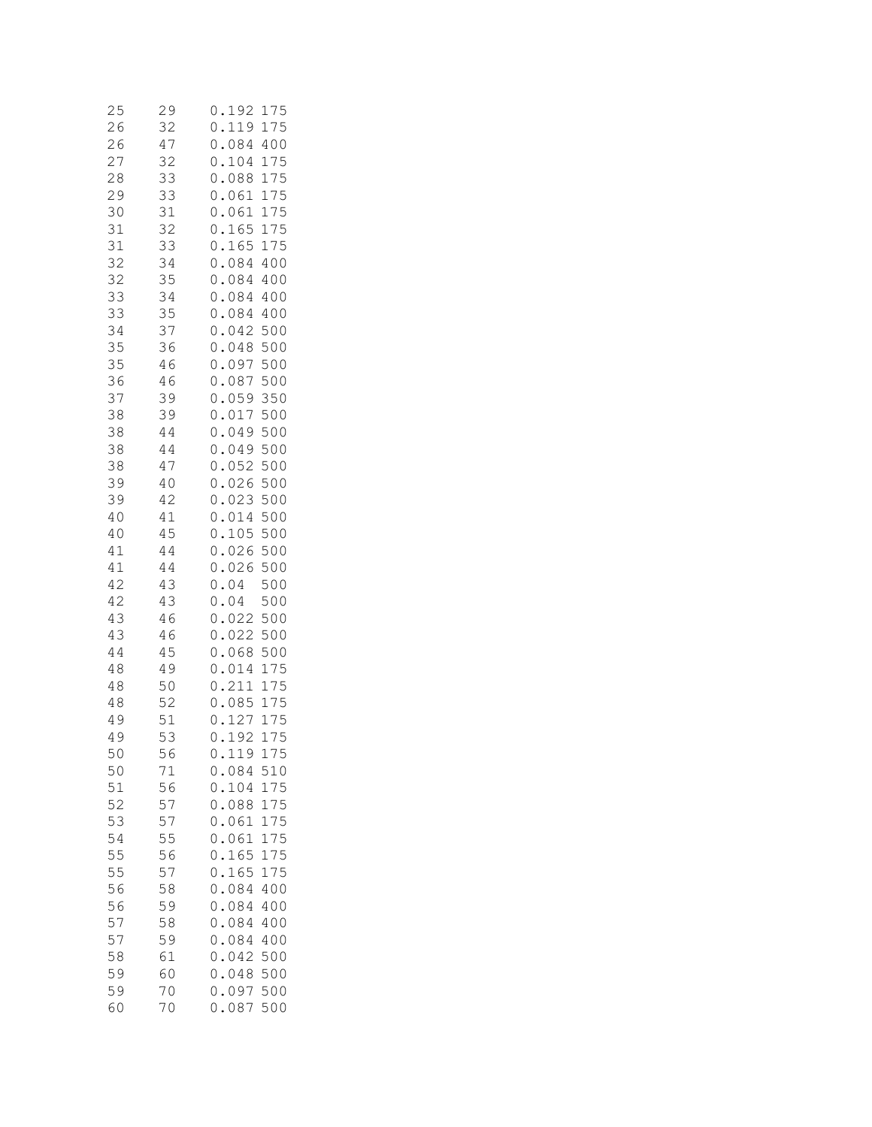| 25<br>26       | 29<br>32                  | 192<br>75<br>0<br>1<br>119<br>75<br>0<br>$\mathbf{1}$<br>$\ddot{\phantom{0}}$                                           |
|----------------|---------------------------|-------------------------------------------------------------------------------------------------------------------------|
| 26<br>27<br>28 | 47<br>32<br>33            | 084<br>400<br>$\circ$<br>$\ddot{\phantom{0}}$<br>$\circ$<br>104<br>175<br>$\ddot{\phantom{0}}$<br>$\circ$<br>088<br>175 |
| 29             | 33                        | $\ddot{\phantom{0}}$<br>175<br>$\circ$<br>061                                                                           |
| 30<br>31       | 31<br>32                  | $\ddot{\phantom{0}}$<br>175<br>061<br>$\circ$<br>$\ddot{\phantom{0}}$<br>165<br>175<br>$\circ$                          |
| 31             | 33<br>34                  | $\ddot{\phantom{0}}$<br>165<br>175<br>$\circ$                                                                           |
| 32<br>32       | 35                        | $\circ$<br>084<br>400<br>084<br>$\circ$<br>400                                                                          |
| 33<br>33       | 34<br>35                  | $\ddot{\phantom{0}}$<br>084<br>$\circ$<br>400<br>$\ddot{\phantom{0}}$<br>084                                            |
| 34             | 3<br>$\overline{7}$       | 400<br>$\circ$<br>$\ddot{\cdot}$<br>500<br>$\circ$<br>042                                                               |
| 35<br>35       | 36<br>46                  | $\ddot{\phantom{0}}$<br>500<br>$\circ$<br>048<br>500<br>$\ddot{\phantom{0}}$<br>$\overline{0}$<br>097                   |
| 36             | 46                        | $\ddot{\phantom{0}}$<br>087<br>500<br>$\overline{0}$                                                                    |
| 37<br>38       | 39<br>39                  | 350<br>$\ddot{\phantom{0}}$<br>059<br>$\circ$<br>500<br>017<br>$\circ$                                                  |
| 38             | 44                        | 500<br>$\ddot{\phantom{0}}$<br>049<br>$\circ$                                                                           |
| 38<br>38       | 44<br>47                  | 500<br>$\circ$<br>049<br>500<br>052<br>$\circ$                                                                          |
| 39             | 40                        | 500<br>$\circ$<br>026                                                                                                   |
| 39<br>40       | 42<br>41                  | 500<br>$\circ$<br>023<br>500<br>$\circ$<br>014                                                                          |
| 40             | 45                        | 500<br>$\overline{0}$<br>$\ddot{\phantom{0}}$<br>105                                                                    |
| 41<br>41       | 44<br>44                  | 500<br>026<br>$\circ$<br>$\ddot{\phantom{0}}$<br>500<br>$\circ$<br>$\ddot{\phantom{0}}$<br>026                          |
| 42             | 43                        | 500<br>$\circ$<br>04                                                                                                    |
| 42<br>43       | 43<br>46                  | $\overline{0}$<br>500<br>04<br>500<br>0<br>022                                                                          |
| 43<br>44       | 46<br>45                  | 500<br>$\circ$<br>022<br>$\circ$<br>068<br>500                                                                          |
| 48             | 49                        | $\circ$<br>014<br>$\mathbf 1$<br>75                                                                                     |
| 48<br>48       | 50<br>52                  | $\circ$<br>$\ddot{\phantom{0}}$<br>211<br>$\mathbf{1}$<br>75<br>085<br>75<br>$\circ$<br>$\mathbf{1}$                    |
| 49             | 5<br>$\mathbf{1}$         | $\overline{0}$<br>12<br>75<br>$\mathbf{1}$<br>7                                                                         |
| 49<br>50       | 53<br>56                  | 7<br>5<br>$\mathbf{1}$<br>9<br>0<br>$\mathbf{Z}$<br>$\mathbf{1}$<br>119<br>175<br>0                                     |
| 50             | 71                        | 510<br>084<br>0                                                                                                         |
| 51<br>52       | 56<br>$\overline{7}$<br>5 | 104<br>0<br>175<br>088<br>175<br>0<br>$\ddot{\phantom{0}}$                                                              |
| 53<br>54       | 57<br>55                  | 0<br>061<br>175<br>$\ddot{\cdot}$<br>0<br>061<br>175                                                                    |
| 55             | 56                        | $\ddot{\phantom{0}}$<br>165<br>0<br>175                                                                                 |
| 55<br>56       | 57<br>58                  | 165<br>0<br>175<br>084<br>400<br>0                                                                                      |
| 56             | 59                        | 084<br>400<br>0                                                                                                         |
| 57<br>57       | 58<br>59                  | 084<br>0<br>400<br>0<br>084<br>400                                                                                      |
| 58             | 61                        | $\ddot{\phantom{a}}$<br>0<br>500<br>042                                                                                 |
| 59<br>59       | 60<br>70                  | 0<br>048<br>500<br>097<br>500<br>0                                                                                      |
| 60             | 70                        | .087<br>0<br>500                                                                                                        |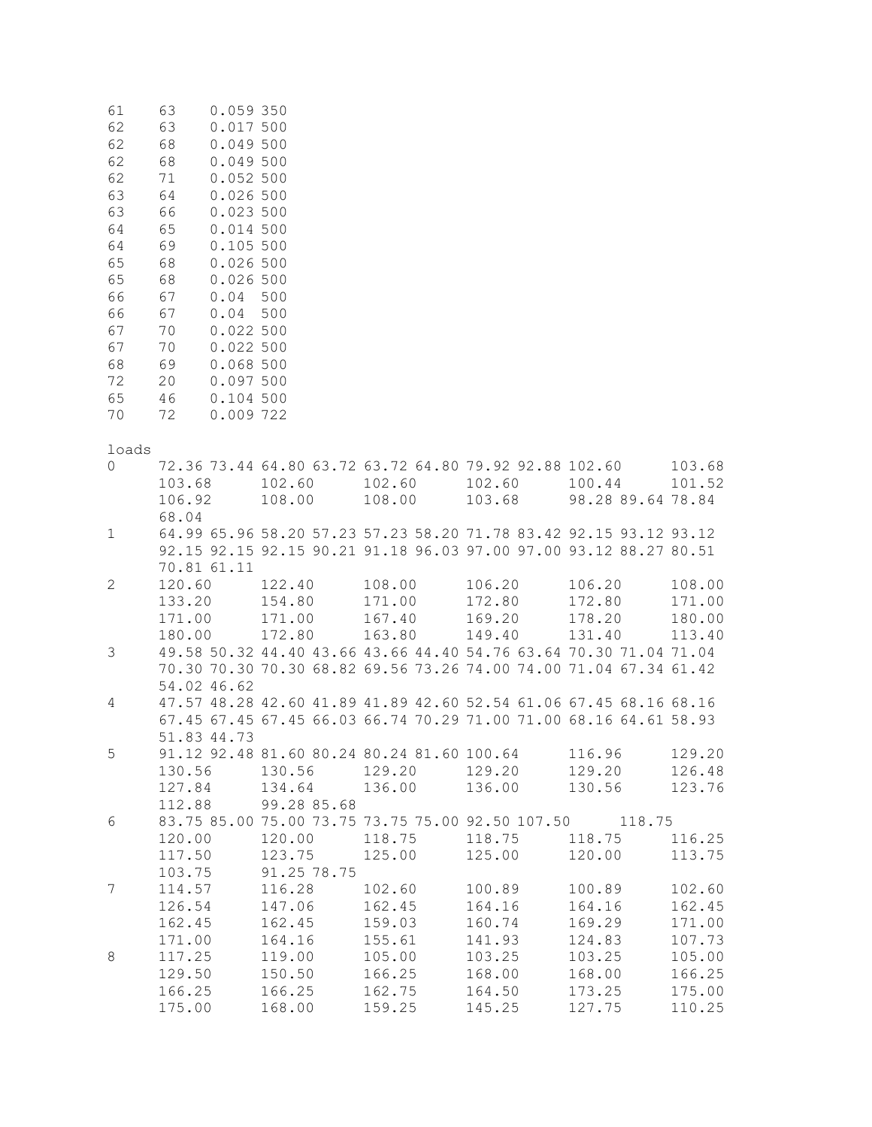| 61<br>62<br>62<br>62<br>62<br>63<br>63<br>64<br>64<br>65<br>65<br>66<br>66<br>67<br>67<br>68<br>72<br>65<br>70 | 63<br>0.059 350<br>63<br>0.017 500<br>68<br>0.049 500<br>68<br>0.049 500<br>71<br>0.052 500<br>0.026500<br>64<br>66<br>0.023 500<br>65<br>0.014 500<br>69<br>0.105 500<br>68<br>0.026 500<br>68<br>0.026 500<br>67<br>0.04<br>67<br>0.04<br>70<br>0.022 500<br>70<br>0.022 500<br>69<br>0.068 500<br>20<br>0.097 500<br>46<br>0.104 500<br>72<br>0.009 722 | 500<br>500                                                                                                                             |                                      |                                      |                                      |                                      |
|----------------------------------------------------------------------------------------------------------------|------------------------------------------------------------------------------------------------------------------------------------------------------------------------------------------------------------------------------------------------------------------------------------------------------------------------------------------------------------|----------------------------------------------------------------------------------------------------------------------------------------|--------------------------------------|--------------------------------------|--------------------------------------|--------------------------------------|
| loads                                                                                                          |                                                                                                                                                                                                                                                                                                                                                            |                                                                                                                                        |                                      |                                      |                                      |                                      |
| 0                                                                                                              | 103.68<br>106.92<br>68.04                                                                                                                                                                                                                                                                                                                                  | 72.36 73.44 64.80 63.72 63.72 64.80 79.92 92.88 102.60<br>102.60<br>108.00                                                             | 102.60<br>108.00                     | 102.60<br>103.68                     | 100.44<br>98.28 89.64 78.84          | 103.68<br>101.52                     |
| $\mathbf{1}$                                                                                                   | 70.81 61.11                                                                                                                                                                                                                                                                                                                                                | 64.99 65.96 58.20 57.23 57.23 58.20 71.78 83.42 92.15 93.12 93.12<br>92.15 92.15 92.15 90.21 91.18 96.03 97.00 97.00 93.12 88.27 80.51 |                                      |                                      |                                      |                                      |
| $\mathbf{2}^{\prime}$                                                                                          | 120.60<br>133.20<br>171.00<br>180.00                                                                                                                                                                                                                                                                                                                       | 122.40<br>154.80<br>171.00<br>172.80                                                                                                   | 108.00<br>171.00<br>167.40<br>163.80 | 106.20<br>172.80<br>169.20<br>149.40 | 106.20<br>172.80<br>178.20<br>131.40 | 108.00<br>171.00<br>180.00<br>113.40 |
| 3                                                                                                              | 54.02 46.62                                                                                                                                                                                                                                                                                                                                                | 49.58 50.32 44.40 43.66 43.66 44.40 54.76 63.64 70.30 71.04 71.04<br>70.30 70.30 70.30 68.82 69.56 73.26 74.00 74.00 71.04 67.34 61.42 |                                      |                                      |                                      |                                      |
| 4                                                                                                              | 51.83 44.73                                                                                                                                                                                                                                                                                                                                                | 47.57 48.28 42.60 41.89 41.89 42.60 52.54 61.06 67.45 68.16 68.16<br>67.45 67.45 67.45 66.03 66.74 70.29 71.00 71.00 68.16 64.61 58.93 |                                      |                                      |                                      |                                      |
| 5                                                                                                              | 130.56<br>127.84<br>112.88                                                                                                                                                                                                                                                                                                                                 | 91.12 92.48 81.60 80.24 80.24 81.60 100.64<br>130.56<br>134.64<br>99.28 85.68                                                          | 129.20<br>136.00                     | 129.20<br>136.00                     | 116.96<br>129.20<br>130.56           | 129.20<br>126.48<br>123.76           |
| 6                                                                                                              | 120.00<br>117.50<br>103.75                                                                                                                                                                                                                                                                                                                                 | 83.75 85.00 75.00 73.75 73.75 75.00 92.50 107.50 118.75<br>120.00<br>123.75<br>91.25 78.75                                             | 118.75<br>125.00                     | 118.75<br>125.00                     | 118.75<br>120.00                     | 116.25<br>113.75                     |
| 7                                                                                                              | 114.57<br>126.54<br>162.45                                                                                                                                                                                                                                                                                                                                 | 116.28<br>147.06<br>162.45                                                                                                             | 102.60<br>162.45<br>159.03           | 100.89<br>164.16<br>160.74           | 100.89<br>164.16<br>169.29           | 102.60<br>162.45<br>171.00           |
| 8                                                                                                              | 171.00<br>117.25<br>129.50<br>166.25                                                                                                                                                                                                                                                                                                                       | 164.16<br>119.00<br>150.50<br>166.25                                                                                                   | 155.61<br>105.00<br>166.25<br>162.75 | 141.93<br>103.25<br>168.00<br>164.50 | 124.83<br>103.25<br>168.00<br>173.25 | 107.73<br>105.00<br>166.25<br>175.00 |

175.00 168.00 159.25 145.25 127.75 110.25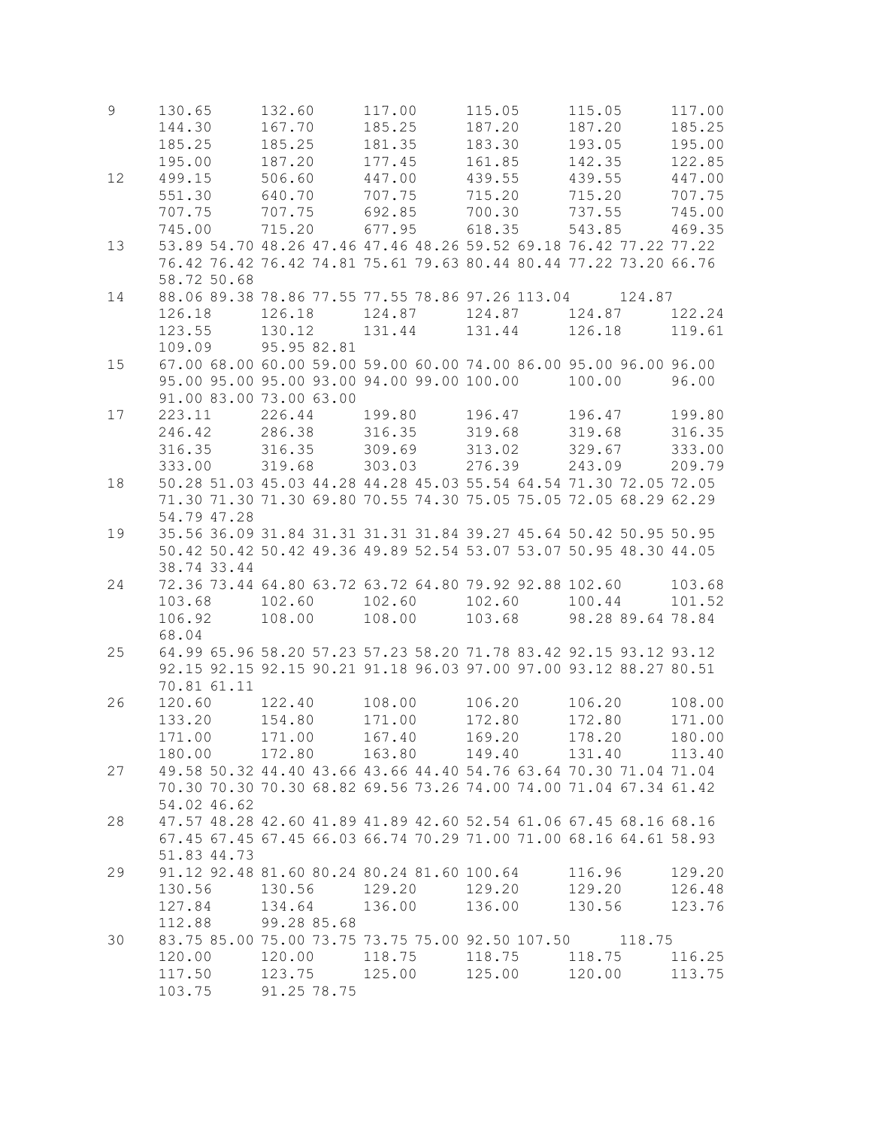| $\mathsf 9$ | 130.65           | 132.60                                                                                                          | 117.00           | 115.05<br>187.20 | 115.05<br>187.20            | 117.00           |
|-------------|------------------|-----------------------------------------------------------------------------------------------------------------|------------------|------------------|-----------------------------|------------------|
|             | 144.30<br>185.25 | 167.70<br>185.25                                                                                                | 185.25<br>181.35 | 183.30           | 193.05                      | 185.25<br>195.00 |
|             | 195.00           | 187.20                                                                                                          | 177.45           | 161.85           | 142.35                      | 122.85           |
| 12          | 499.15           | 506.60                                                                                                          | 447.00           | 439.55           | 439.55                      | 447.00           |
|             | 551.30           | 640.70                                                                                                          | 707.75           | 715.20           | 715.20                      | 707.75           |
|             | 707.75           | 707.75                                                                                                          | 692.85           | 700.30           | 737.55                      | 745.00           |
|             | 745.00           | 715.20                                                                                                          | 677.95           | 618.35           | 543.85                      | 469.35           |
| 13          |                  | 53.89 54.70 48.26 47.46 47.46 48.26 59.52 69.18 76.42 77.22 77.22                                               |                  |                  |                             |                  |
|             |                  | 76.42 76.42 76.42 74.81 75.61 79.63 80.44 80.44 77.22 73.20 66.76                                               |                  |                  |                             |                  |
|             | 58.72 50.68      |                                                                                                                 |                  |                  |                             |                  |
| 14          |                  | 88.06 89.38 78.86 77.55 77.55 78.86 97.26 113.04                                                                |                  |                  | 124.87                      |                  |
|             | 126.18           | 126.18                                                                                                          |                  |                  | 124.87                      | 122.24           |
|             | 123.55           | 130.12                                                                                                          | 131.44           | 131.44           | 126.18                      | 119.61           |
|             | 109.09           | 95.95 82.81                                                                                                     |                  |                  |                             |                  |
| 15          |                  | 67.00 68.00 60.00 59.00 59.00 60.00 74.00 86.00 95.00 96.00 96.00<br>95.00 95.00 95.00 93.00 94.00 99.00 100.00 |                  |                  | 100.00                      | 96.00            |
|             |                  | 91.00 83.00 73.00 63.00                                                                                         |                  |                  |                             |                  |
| 17          | 223.11           | 226.44                                                                                                          | 199.80           | 196.47           | 196.47                      | 199.80           |
|             | 246.42           | 286.38                                                                                                          | 316.35           | 319.68           | 319.68                      | 316.35           |
|             | 316.35           | 316.35                                                                                                          | 309.69           | 313.02           | 329.67                      | 333.00           |
|             | 333.00           | 319.68                                                                                                          | 303.03           | 276.39           | 243.09                      | 209.79           |
| 18          |                  | 50.28 51.03 45.03 44.28 44.28 45.03 55.54 64.54 71.30 72.05 72.05                                               |                  |                  |                             |                  |
|             |                  | 71.30 71.30 71.30 69.80 70.55 74.30 75.05 75.05 72.05 68.29 62.29                                               |                  |                  |                             |                  |
|             | 54.79 47.28      |                                                                                                                 |                  |                  |                             |                  |
| 19          |                  | 35.56 36.09 31.84 31.31 31.31 31.84 39.27 45.64 50.42 50.95 50.95                                               |                  |                  |                             |                  |
|             |                  | 50.42 50.42 50.42 49.36 49.89 52.54 53.07 53.07 50.95 48.30 44.05                                               |                  |                  |                             |                  |
|             | 38.74 33.44      |                                                                                                                 |                  |                  |                             |                  |
| 24          |                  | 72.36 73.44 64.80 63.72 63.72 64.80 79.92 92.88 102.60                                                          |                  |                  |                             | 103.68           |
|             | 103.68<br>106.92 | 102.60<br>108.00                                                                                                | 102.60<br>108.00 | 102.60<br>103.68 | 100.44<br>98.28 89.64 78.84 | 101.52           |
|             | 68.04            |                                                                                                                 |                  |                  |                             |                  |
| 25          |                  | 64.99 65.96 58.20 57.23 57.23 58.20 71.78 83.42 92.15 93.12 93.12                                               |                  |                  |                             |                  |
|             |                  | 92.15 92.15 92.15 90.21 91.18 96.03 97.00 97.00 93.12 88.27 80.51                                               |                  |                  |                             |                  |
|             | 70.81 61.11      |                                                                                                                 |                  |                  |                             |                  |
| 26          | 120.60           | 122.40                                                                                                          | 108.00           | 106.20           | 106.20                      | 108.00           |
|             | 133.20           | 154.80                                                                                                          | 171.00           | 172.80           | 172.80                      | 171.00           |
|             | 171.00           | 171.00                                                                                                          | 167.40           | 169.20           | 178.20                      | 180.00           |
|             | 180.00           | 172.80  163.80  149.40                                                                                          |                  |                  | 131.40                      | 113.40           |
| 27          |                  | 49.58 50.32 44.40 43.66 43.66 44.40 54.76 63.64 70.30 71.04 71.04                                               |                  |                  |                             |                  |
|             |                  | 70.30 70.30 70.30 68.82 69.56 73.26 74.00 74.00 71.04 67.34 61.42                                               |                  |                  |                             |                  |
|             | 54.02 46.62      |                                                                                                                 |                  |                  |                             |                  |
| 28          |                  | 47.57 48.28 42.60 41.89 41.89 42.60 52.54 61.06 67.45 68.16 68.16                                               |                  |                  |                             |                  |
|             |                  | 67.45 67.45 67.45 66.03 66.74 70.29 71.00 71.00 68.16 64.61 58.93                                               |                  |                  |                             |                  |
|             | 51.83 44.73      |                                                                                                                 |                  |                  |                             |                  |
| 29          |                  | 91.12 92.48 81.60 80.24 80.24 81.60 100.64<br>130.56                                                            | 129.20 129.20    |                  | 116.96<br>129.20            | 129.20<br>126.48 |
|             | 130.56<br>127.84 | 134.64 136.00 136.00                                                                                            |                  |                  | 130.56                      | 123.76           |
|             | 112.88           | 99.28 85.68                                                                                                     |                  |                  |                             |                  |
| 30          |                  | 83.75 85.00 75.00 73.75 73.75 75.00 92.50 107.50 118.75                                                         |                  |                  |                             |                  |
|             | 120.00           | 120.00                                                                                                          | 118.75           | 118.75 118.75    |                             | 116.25           |
|             | 117.50           | 123.75 125.00 125.00 120.00                                                                                     |                  |                  |                             | 113.75           |
|             | 103.75           | 91.25 78.75                                                                                                     |                  |                  |                             |                  |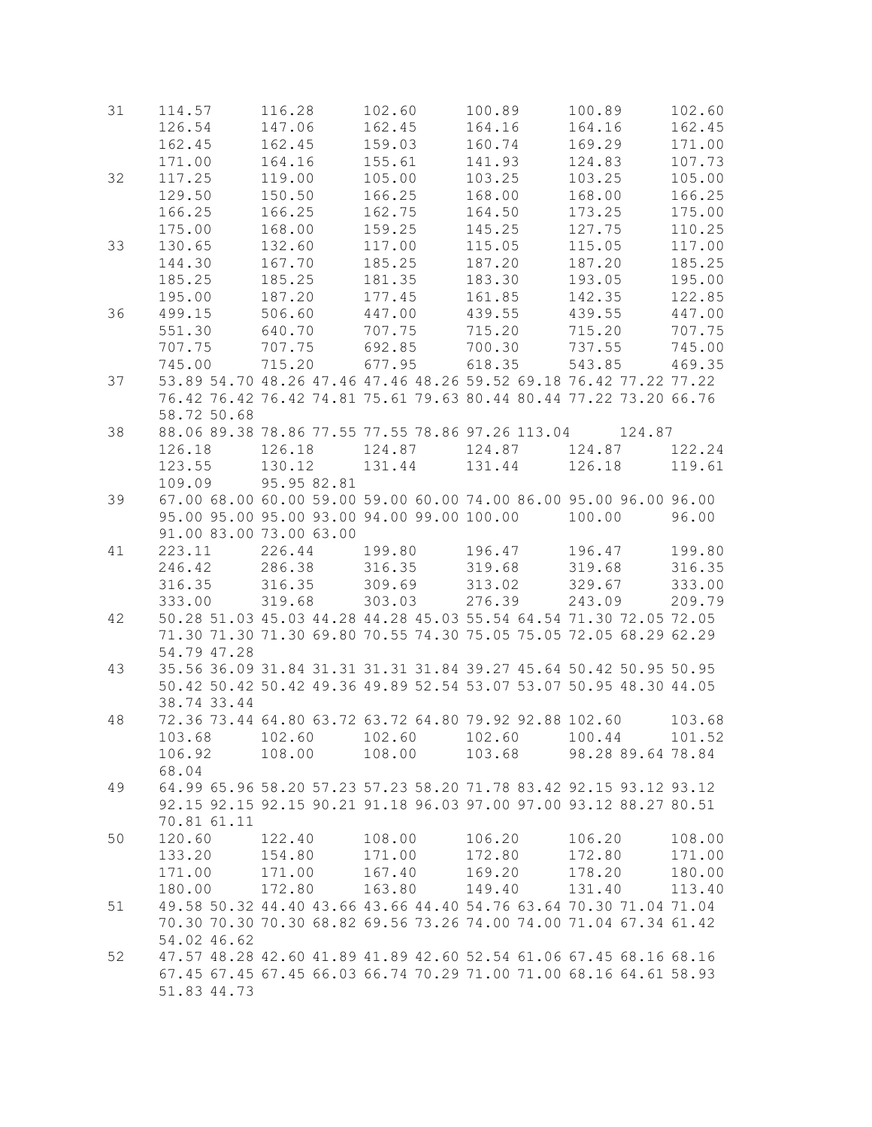| 31 | 114.57      | 116.28                  | 102.60                                                 | 100.89 | 100.89                                                            | 102.60 |
|----|-------------|-------------------------|--------------------------------------------------------|--------|-------------------------------------------------------------------|--------|
|    | 126.54      | 147.06                  | 162.45                                                 | 164.16 | 164.16                                                            | 162.45 |
|    | 162.45      | 162.45                  | 159.03                                                 | 160.74 | 169.29                                                            | 171.00 |
|    | 171.00      | 164.16                  | 155.61                                                 | 141.93 | 124.83                                                            | 107.73 |
| 32 | 117.25      | 119.00                  | 105.00                                                 | 103.25 | 103.25                                                            | 105.00 |
|    | 129.50      | 150.50                  | 166.25                                                 | 168.00 | 168.00                                                            | 166.25 |
|    | 166.25      | 166.25                  | 162.75                                                 | 164.50 | 173.25                                                            | 175.00 |
|    | 175.00      | 168.00                  | 159.25                                                 | 145.25 | 127.75                                                            | 110.25 |
| 33 | 130.65      | 132.60                  | 117.00                                                 | 115.05 | 115.05                                                            | 117.00 |
|    |             | 167.70                  |                                                        | 187.20 |                                                                   |        |
|    | 144.30      |                         | 185.25                                                 |        | 187.20                                                            | 185.25 |
|    | 185.25      | 185.25                  | 181.35                                                 | 183.30 | 193.05                                                            | 195.00 |
|    | 195.00      | 187.20                  | 177.45                                                 | 161.85 | 142.35                                                            | 122.85 |
| 36 | 499.15      | 506.60                  | 447.00                                                 | 439.55 | 439.55                                                            | 447.00 |
|    | 551.30      | 640.70                  | 707.75                                                 | 715.20 | 715.20                                                            | 707.75 |
|    | 707.75      | 707.75                  | 692.85                                                 | 700.30 | 737.55                                                            | 745.00 |
|    | 745.00      | 715.20                  | 677.95                                                 | 618.35 | 543.85                                                            | 469.35 |
| 37 |             |                         |                                                        |        | 53.89 54.70 48.26 47.46 47.46 48.26 59.52 69.18 76.42 77.22 77.22 |        |
|    |             |                         |                                                        |        | 76.42 76.42 76.42 74.81 75.61 79.63 80.44 80.44 77.22 73.20 66.76 |        |
|    | 58.72 50.68 |                         |                                                        |        |                                                                   |        |
| 38 |             |                         | 88.06 89.38 78.86 77.55 77.55 78.86 97.26 113.04       |        | 124.87                                                            |        |
|    | 126.18      | 126.18                  |                                                        |        |                                                                   | 122.24 |
|    | 123.55      | 130.12                  | 131.44                                                 | 131.44 | 126.18                                                            | 119.61 |
|    | 109.09      | 95.95 82.81             |                                                        |        |                                                                   |        |
| 39 |             |                         |                                                        |        | 67.00 68.00 60.00 59.00 59.00 60.00 74.00 86.00 95.00 96.00 96.00 |        |
|    |             |                         | 95.00 95.00 95.00 93.00 94.00 99.00 100.00             |        | 100.00                                                            | 96.00  |
|    |             | 91.00 83.00 73.00 63.00 |                                                        |        |                                                                   |        |
|    |             | 226.44                  |                                                        |        |                                                                   |        |
| 41 | 223.11      |                         | 199.80                                                 | 196.47 | 196.47                                                            | 199.80 |
|    | 246.42      | 286.38                  | 316.35                                                 | 319.68 | 319.68                                                            | 316.35 |
|    | 316.35      | 316.35                  | 309.69                                                 | 313.02 | 329.67                                                            | 333.00 |
|    | 333.00      | 319.68                  | 303.03                                                 | 276.39 | 243.09                                                            | 209.79 |
| 42 |             |                         |                                                        |        | 50.28 51.03 45.03 44.28 44.28 45.03 55.54 64.54 71.30 72.05 72.05 |        |
|    |             |                         |                                                        |        | 71.30 71.30 71.30 69.80 70.55 74.30 75.05 75.05 72.05 68.29 62.29 |        |
|    | 54.79 47.28 |                         |                                                        |        |                                                                   |        |
| 43 |             |                         |                                                        |        | 35.56 36.09 31.84 31.31 31.31 31.84 39.27 45.64 50.42 50.95 50.95 |        |
|    |             |                         |                                                        |        | 50.42 50.42 50.42 49.36 49.89 52.54 53.07 53.07 50.95 48.30 44.05 |        |
|    | 38.74 33.44 |                         |                                                        |        |                                                                   |        |
| 48 |             |                         | 72.36 73.44 64.80 63.72 63.72 64.80 79.92 92.88 102.60 |        |                                                                   | 103.68 |
|    | 103.68      | 102.60                  | 102.60                                                 | 102.60 | 100.44                                                            | 101.52 |
|    | 106.92      | 108.00 108.00           |                                                        |        | 103.68 98.28 89.64 78.84                                          |        |
|    | 68.04       |                         |                                                        |        |                                                                   |        |
| 49 |             |                         |                                                        |        | 64.99 65.96 58.20 57.23 57.23 58.20 71.78 83.42 92.15 93.12 93.12 |        |
|    |             |                         |                                                        |        |                                                                   |        |
|    |             |                         |                                                        |        | 92.15 92.15 92.15 90.21 91.18 96.03 97.00 97.00 93.12 88.27 80.51 |        |
|    | 70.81 61.11 |                         |                                                        |        |                                                                   |        |
| 50 | 120.60      | 122.40                  | 108.00                                                 | 106.20 | 106.20                                                            | 108.00 |
|    | 133.20      | 154.80                  | 171.00                                                 | 172.80 | 172.80                                                            | 171.00 |
|    | 171.00      | 171.00                  | 167.40                                                 | 169.20 | 178.20                                                            | 180.00 |
|    | 180.00      | 172.80                  | 163.80                                                 | 149.40 | 131.40                                                            | 113.40 |
| 51 |             |                         |                                                        |        | 49.58 50.32 44.40 43.66 43.66 44.40 54.76 63.64 70.30 71.04 71.04 |        |
|    |             |                         |                                                        |        | 70.30 70.30 70.30 68.82 69.56 73.26 74.00 74.00 71.04 67.34 61.42 |        |
|    | 54.02 46.62 |                         |                                                        |        |                                                                   |        |
| 52 |             |                         |                                                        |        | 47.57 48.28 42.60 41.89 41.89 42.60 52.54 61.06 67.45 68.16 68.16 |        |
|    |             |                         |                                                        |        | 67.45 67.45 67.45 66.03 66.74 70.29 71.00 71.00 68.16 64.61 58.93 |        |
|    | 51.83 44.73 |                         |                                                        |        |                                                                   |        |
|    |             |                         |                                                        |        |                                                                   |        |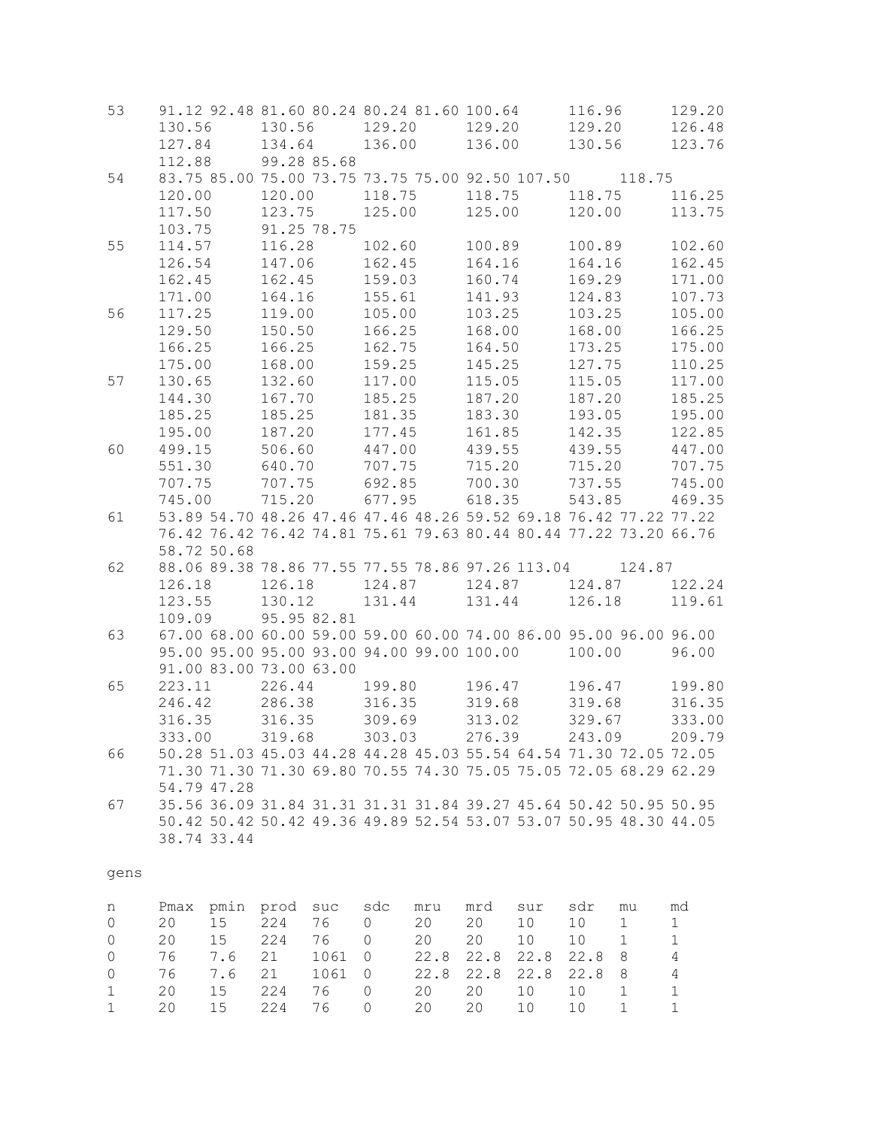| 53             | 130.56           |    | 91.12 92.48 81.60 80.24 80.24 81.60 100.64<br>130.56              |             | 129.20           |        | 129.20           |     | 116.96<br>129.20 |             | 129.20<br>126.48 |  |
|----------------|------------------|----|-------------------------------------------------------------------|-------------|------------------|--------|------------------|-----|------------------|-------------|------------------|--|
|                | 127.84<br>112.88 |    | 134.64<br>99.28 85.68                                             |             | 136.00           |        | 136.00           |     | 130.56           |             | 123.76           |  |
| 54             |                  |    | 83.75 85.00 75.00 73.75 73.75 75.00 92.50 107.50 118.75           |             |                  |        |                  |     |                  |             |                  |  |
|                | 120.00           |    | 120.00                                                            |             | 118.75           |        | 118.75           |     | 118.75           |             | 116.25           |  |
|                | 117.50           |    | 123.75                                                            |             | 125.00           |        | 125.00           |     | 120.00           |             | 113.75           |  |
|                | 103.75           |    | 91.25 78.75                                                       |             |                  |        |                  |     |                  |             |                  |  |
| 55             | 114.57           |    | 116.28                                                            |             | 102.60           |        | 100.89           |     | 100.89           |             | 102.60           |  |
|                | 126.54           |    | 147.06                                                            |             | 162.45           |        | 164.16           |     | 164.16           |             | 162.45           |  |
|                | 162.45           |    | 162.45                                                            |             | 159.03           |        | 160.74           |     | 169.29           |             | 171.00           |  |
|                | 171.00           |    | 164.16                                                            |             | 155.61           |        | 141.93           |     | 124.83           |             | 107.73           |  |
| 56             | 117.25           |    | 119.00                                                            |             | 105.00           |        | 103.25           |     | 103.25           |             | 105.00           |  |
|                | 129.50           |    | 150.50                                                            |             | 166.25           |        | 168.00           |     | 168.00           |             | 166.25           |  |
|                | 166.25           |    | 166.25                                                            |             | 162.75           |        | 164.50           |     | 173.25           |             | 175.00           |  |
|                | 175.00           |    | 168.00                                                            |             | 159.25           |        | 145.25           |     | 127.75           |             | 110.25           |  |
| 57             | 130.65           |    | 132.60                                                            |             | 117.00           |        | 115.05           |     | 115.05           |             | 117.00           |  |
|                | 144.30           |    | 167.70                                                            |             | 185.25           |        | 187.20           |     | 187.20           |             | 185.25           |  |
|                | 185.25           |    | 185.25                                                            |             | 181.35           |        | 183.30           |     | 193.05           |             | 195.00           |  |
|                | 195.00           |    | 187.20                                                            |             | 177.45           |        | 161.85           |     | 142.35           |             | 122.85           |  |
| 60             | 499.15           |    | 506.60                                                            |             | 447.00           |        | 439.55           |     | 439.55           |             | 447.00           |  |
|                | 551.30<br>707.75 |    | 640.70<br>707.75                                                  |             | 707.75<br>692.85 |        | 715.20           |     | 715.20           |             | 707.75           |  |
|                | 745.00           |    | 715.20                                                            |             | 677.95           |        | 700.30<br>618.35 |     | 737.55<br>543.85 |             | 745.00<br>469.35 |  |
| 61             |                  |    | 53.89 54.70 48.26 47.46 47.46 48.26 59.52 69.18 76.42 77.22 77.22 |             |                  |        |                  |     |                  |             |                  |  |
|                |                  |    | 76.42 76.42 76.42 74.81 75.61 79.63 80.44 80.44 77.22 73.20 66.76 |             |                  |        |                  |     |                  |             |                  |  |
|                | 58.72 50.68      |    |                                                                   |             |                  |        |                  |     |                  |             |                  |  |
| 62             |                  |    | 88.06 89.38 78.86 77.55 77.55 78.86 97.26 113.04 124.87           |             |                  |        |                  |     |                  |             |                  |  |
|                | 126.18           |    | 126.18                                                            |             |                  | 124.87 | 124.87           |     | 124.87           |             | 122.24           |  |
|                | 123.55           |    | 130.12                                                            |             | 131.44           |        | 131.44           |     | 126.18           |             | 119.61           |  |
|                | 109.09           |    |                                                                   | 95.95 82.81 |                  |        |                  |     |                  |             |                  |  |
| 63             |                  |    | 67.00 68.00 60.00 59.00 59.00 60.00 74.00 86.00 95.00 96.00 96.00 |             |                  |        |                  |     |                  |             |                  |  |
|                |                  |    | 95.00 95.00 95.00 93.00 94.00 99.00 100.00                        |             |                  |        |                  |     | 100.00           |             | 96.00            |  |
|                |                  |    | 91.00 83.00 73.00 63.00                                           |             |                  |        |                  |     |                  |             |                  |  |
| 65             | 223.11           |    | 226.44                                                            |             | 199.80           |        | 196.47           |     | 196.47           |             | 199.80           |  |
|                | 246.42           |    | 286.38                                                            |             | 316.35           |        | 319.68           |     | 319.68           |             | 316.35           |  |
|                | 316.35           |    | 316.35                                                            |             | 309.69           |        | 313.02           |     | 329.67           |             | 333.00           |  |
|                | 333.00           |    | 319.68                                                            |             | 303.03           |        | 276.39           |     | 243.09           |             | 209.79           |  |
| 66             |                  |    | 50.28 51.03 45.03 44.28 44.28 45.03 55.54 64.54 71.30 72.05 72.05 |             |                  |        |                  |     |                  |             |                  |  |
|                |                  |    | 71.30 71.30 71.30 69.80 70.55 74.30 75.05 75.05 72.05 68.29 62.29 |             |                  |        |                  |     |                  |             |                  |  |
|                | 54.79 47.28      |    |                                                                   |             |                  |        |                  |     |                  |             |                  |  |
| 67             |                  |    | 35.56 36.09 31.84 31.31 31.31 31.84 39.27 45.64 50.42 50.95 50.95 |             |                  |        |                  |     |                  |             |                  |  |
|                |                  |    | 50.42 50.42 50.42 49.36 49.89 52.54 53.07 53.07 50.95 48.30 44.05 |             |                  |        |                  |     |                  |             |                  |  |
|                | 38.74 33.44      |    |                                                                   |             |                  |        |                  |     |                  |             |                  |  |
| gens           |                  |    |                                                                   |             |                  |        |                  |     |                  |             |                  |  |
|                |                  |    |                                                                   |             |                  |        |                  |     |                  |             |                  |  |
| n              |                  |    | Pmax pmin prod suc                                                |             | sdc              | mru    | mrd              | sur | sdr              | mu          | md               |  |
| $\overline{0}$ | 20               | 15 | 224                                                               | 76          | 0                | 20     | 20               | 10  | 10               | $\mathbf 1$ | $\mathbf 1$      |  |

|  |  |  | 0 20 15 224 76 0 20 20 10 10 1 11          |  |  |  |
|--|--|--|--------------------------------------------|--|--|--|
|  |  |  | 0 20 15 224 76 0 20 20 10 10 1 11          |  |  |  |
|  |  |  | 0 76 7.6 21 1061 0 22.8 22.8 22.8 22.8 8 4 |  |  |  |
|  |  |  | 0 76 7.6 21 1061 0 22.8 22.8 22.8 22.8 8 4 |  |  |  |
|  |  |  | 1 20 15 224 76 0 20 20 10 10 1 11          |  |  |  |
|  |  |  | 1 20 15 224 76 0 20 20 10 10 1 11          |  |  |  |
|  |  |  |                                            |  |  |  |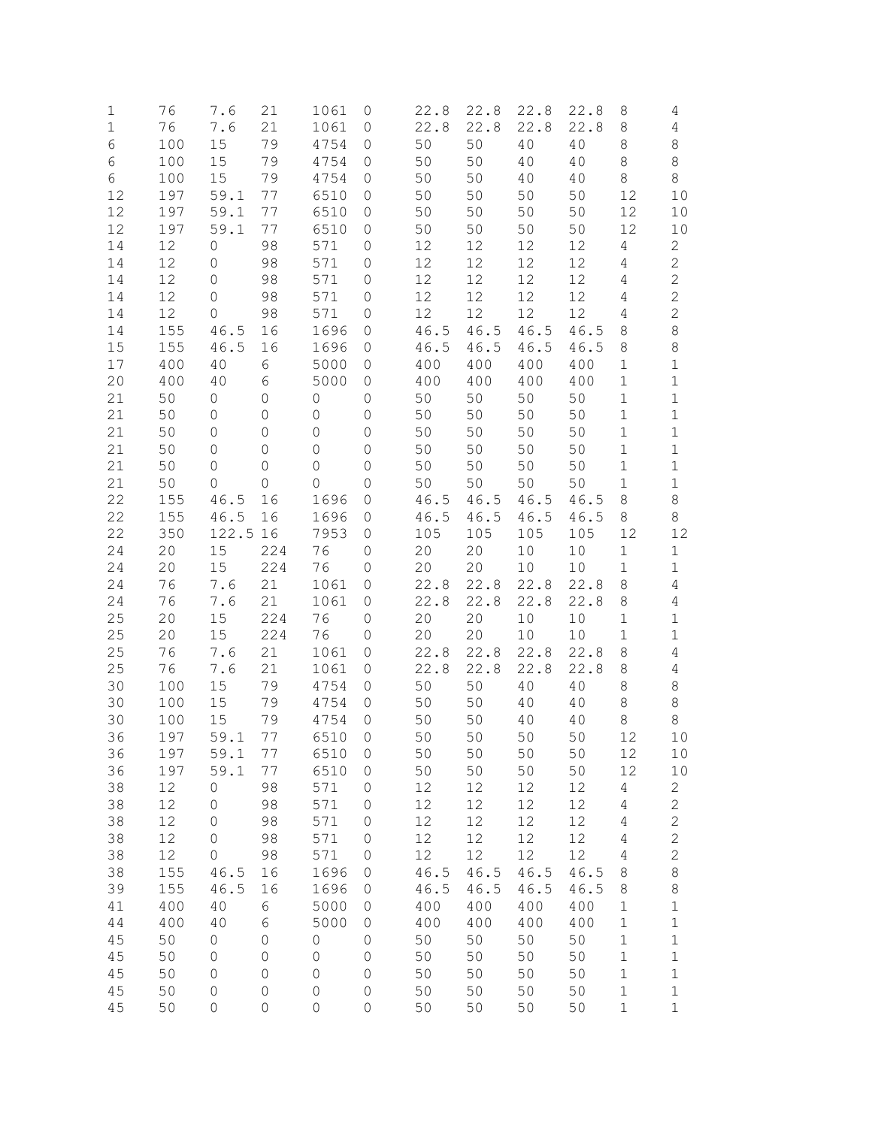| 1        | 76         | 7.6                 | 21                   | 1061          | 0                                | 22.8         | 22.8         | 22.8         | 22.8         | 8                | 4                          |
|----------|------------|---------------------|----------------------|---------------|----------------------------------|--------------|--------------|--------------|--------------|------------------|----------------------------|
| 1        | 76         | 7.6                 | 21                   | 1061          | 0                                | 22.8         | 22.8         | 22.8         | 22.8         | 8                | 4                          |
| 6        | 100        | 15                  | 79                   | 4754          | 0                                | 50           | 50           | 40           | 40           | 8                | 8                          |
| 6        | 100        | 15                  | 79                   | 4754          | 0                                | 50           | 50           | 40           | 40           | 8                | 8                          |
| 6        | 100        | 15                  | 79                   | 4754          | 0                                | 50           | 50           | 40           | 40           | 8                | 8                          |
| 12<br>12 | 197<br>197 | 59.1<br>59.1        | 77<br>77             | 6510<br>6510  | 0<br>0                           | 50<br>50     | 50<br>50     | 50<br>50     | 50<br>50     | 12<br>12         | 10<br>10                   |
| 12       | 197        | 59.1                | 77                   | 6510          | 0                                | 50           | 50           | 50           | 50           | 12               | 10                         |
| 14       | 12         | $\mathsf{O}\xspace$ | 98                   | 571           | 0                                | 12           | 12           | 12           | 12           | 4                | $\overline{2}$             |
| 14       | 12         | $\mathbf{0}$        | 98                   | 571           | $\mathbf{0}$                     | 12           | 12           | $12\,$       | 12           | 4                | $\overline{c}$             |
| 14       | 12         | $\mathbf{0}$        | 98                   | 571           | 0                                | 12           | 12           | 12           | 12           | 4                | $\mathbf{2}$               |
| 14       | 12         | $\mathbf{0}$        | 98                   | 571           | $\mathbf{0}$                     | 12           | 12           | 12           | 12           | 4                | $\mathbf{2}$               |
| 14       | 12         | $\overline{0}$      | 98                   | 571           | 0                                | 12           | 12           | 12           | 12           | 4                | $\overline{c}$             |
| 14       | 155        | 46.5                | 16                   | 1696          | 0                                | 46.5         | 46.5         | 46.5         | 46.5         | 8                | $\,8\,$                    |
| 15       | 155        | 46.5                | 16                   | 1696          | 0                                | 46.5         | 46.5         | 46.5         | 46.5         | 8                | 8                          |
| 17       | 400        | 40                  | 6                    | 5000          | 0                                | 400          | 400          | 400          | 400          | 1                | $\mathbf 1$                |
| 20       | 400        | 40                  | 6                    | 5000          | 0                                | 400          | 400          | 400          | 400          | 1                | $\mathbf 1$                |
| 21       | 50         | 0                   | 0                    | 0             | 0                                | 50           | 50           | 50           | 50           | 1                | 1                          |
| 21       | 50         | 0                   | $\Omega$             | $\Omega$      | $\overline{0}$                   | 50           | 50           | 50           | 50           | 1                | 1                          |
| 21<br>21 | 50<br>50   | $\mathbf{0}$<br>0   | $\Omega$<br>$\Omega$ | $\Omega$<br>0 | $\overline{0}$<br>$\overline{0}$ | 50<br>50     | 50<br>50     | 50<br>50     | 50<br>50     | 1<br>1           | $\mathbf 1$<br>$\mathbf 1$ |
| 21       | 50         | 0                   | $\Omega$             | 0             | $\overline{0}$                   | 50           | 50           | 50           | 50           | 1                | $\mathbf 1$                |
| 21       | 50         | 0                   | $\Omega$             | $\Omega$      | 0                                | 50           | 50           | 50           | 50           | 1                | $\mathbf 1$                |
| 22       | 155        | 46.5                | 16                   | 1696          | 0                                | 46.5         | 46.5         | 46.5         | 46.5         | 8                | 8                          |
| 22       | 155        | 46.5                | 16                   | 1696          | 0                                | 46.5         | 46.5         | 46.5         | 46.5         | 8                | $\,8\,$                    |
| 22       | 350        | 122.5 16            |                      | 7953          | 0                                | 105          | 105          | 105          | 105          | 12               | 12                         |
| 24       | 20         | 15                  | 224                  | 76            | 0                                | 20           | 20           | 10           | 10           | $\mathbf 1$      | $\mathbf 1$                |
| 24       | 20         | 15                  | 224                  | 76            | 0                                | 20           | 20           | 10           | 10           | $\mathbf 1$      | $\mathbf 1$                |
| 24       | 76         | 7.6                 | 21                   | 1061          | 0                                | 22.8         | 22.8         | 22.8         | 22.8         | 8                | 4                          |
| 24       | 76         | 7.6                 | 21                   | 1061          | 0                                | 22.8         | 22.8         | 22.8         | 22.8         | 8                | 4                          |
| 25       | 20         | 15                  | 224                  | 76            | $\mathbf{0}$                     | 20           | 20           | 10           | 10           | $\mathbf 1$      | $\mathbf 1$                |
| 25       | 20         | 15                  | 224                  | 76            | 0                                | 20           | 20           | 10           | 10           | 1                | 1                          |
| 25<br>25 | 76<br>76   | 7.6<br>7.6          | 21<br>21             | 1061<br>1061  | 0<br>0                           | 22.8<br>22.8 | 22.8<br>22.8 | 22.8<br>22.8 | 22.8<br>22.8 | 8<br>8           | 4<br>4                     |
| 30       | 100        | 15                  | 79                   | 4754          | 0                                | 50           | 50           | 40           | 40           | 8                | 8                          |
| 30       | 100        | 15                  | 79                   | 4754          | 0                                | 50           | 50           | 40           | 40           | 8                | 8                          |
| 30       | 100        | 15                  | 79                   | 4754          | 0                                | 50           | 50           | 40           | 40           | 8                | 8                          |
| 36       | 197        | 59.1                | 77                   | 6510          | 0                                | 50           | 50           | 50           | 50           | 12               | 10                         |
| 36       | 197        | 59.1                | 77                   | 6510          | $\mathsf O$                      | 50           | 50           | 50           | 50           | 12               | 10                         |
| 36       | 197        | 59.1                | 77                   | 6510          | $\mathsf O$                      | 50           | $50$         | 50           | 50           | 12               | 10                         |
| 38       | 12         | $\mathbf 0$         | 98                   | 571           | 0                                | 12           | 12           | 12           | 12           | $\sqrt{4}$       | $\overline{c}$             |
| 38       | 12         | 0                   | 98                   | 571           | 0                                | 12           | 12           | 12           | 12           | $\overline{4}$   | $\overline{c}$             |
| 38       | 12         | $\circ$             | 98                   | 571           | $\mathsf O$                      | 12           | 12           | 12           | 12           | $\overline{4}$   | $\overline{c}$             |
| 38       | 12         | $\circ$             | 98                   | 571           | 0                                | 12           | 12           | 12           | 12           | $\sqrt{4}$       | $\overline{c}$             |
| 38       | 12         | $\circ$             | 98                   | 571           | $\mathsf O$                      | 12           | $12$         | $12$         | 12           | $\sqrt{4}$       | $\overline{c}$             |
| 38       | 155        | 46.5                | 16                   | 1696          | $\mathsf{O}$                     | 46.5         | 46.5         | 46.5         | 46.5<br>46.5 | 8                | 8                          |
| 39<br>41 | 155<br>400 | 46.5<br>40          | 16<br>6              | 1696<br>5000  | 0<br>0                           | 46.5<br>400  | 46.5<br>400  | 46.5<br>400  | 400          | 8<br>$\mathbf 1$ | 8<br>$\mathbf 1$           |
| 44       | 400        | 40                  | 6                    | 5000          | 0                                | 400          | 400          | 400          | 400          | $\mathbf 1$      | $\mathbf 1$                |
| 45       | 50         | $\mathsf{O}\xspace$ | $\mathsf{O}\xspace$  | 0             | $\mathsf O$                      | 50           | 50           | 50           | 50           | $\mathbf 1$      | $\mathbf 1$                |
| 45       | 50         | 0                   | 0                    | 0             | $\mathsf O$                      | 50           | 50           | 50           | 50           | $\mathbf 1$      | $\mathbf 1$                |
| 45       | 50         | $\mathbf 0$         | 0                    | 0             | $\mathsf O$                      | 50           | 50           | 50           | 50           | $1\,$            | $\mathbf 1$                |
| 45       | 50         | $\mathbf 0$         | 0                    | 0             | $\mathsf O$                      | 50           | 50           | 50           | 50           | $\mathbf 1$      | $\mathbf 1$                |
| 45       | 50         | 0                   | 0                    | 0             | 0                                | 50           | 50           | 50           | 50           | $1\,$            | $\mathbf 1$                |